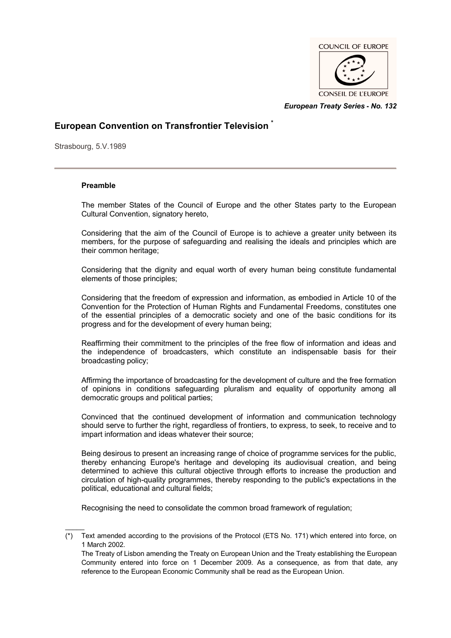

*European Treaty Series* **-** *No. 132*

# **European Convention on Transfrontier Television \***

Strasbourg, 5.V.1989

 $\overline{\phantom{a}}$ 

## **Preamble**

The member States of the Council of Europe and the other States party to the European Cultural Convention, signatory hereto,

Considering that the aim of the Council of Europe is to achieve a greater unity between its members, for the purpose of safeguarding and realising the ideals and principles which are their common heritage;

Considering that the dignity and equal worth of every human being constitute fundamental elements of those principles;

Considering that the freedom of expression and information, as embodied in Article 10 of the Convention for the Protection of Human Rights and Fundamental Freedoms, constitutes one of the essential principles of a democratic society and one of the basic conditions for its progress and for the development of every human being;

Reaffirming their commitment to the principles of the free flow of information and ideas and the independence of broadcasters, which constitute an indispensable basis for their broadcasting policy;

Affirming the importance of broadcasting for the development of culture and the free formation of opinions in conditions safeguarding pluralism and equality of opportunity among all democratic groups and political parties;

Convinced that the continued development of information and communication technology should serve to further the right, regardless of frontiers, to express, to seek, to receive and to impart information and ideas whatever their source;

Being desirous to present an increasing range of choice of programme services for the public, thereby enhancing Europe's heritage and developing its audiovisual creation, and being determined to achieve this cultural objective through efforts to increase the production and circulation of high-quality programmes, thereby responding to the public's expectations in the political, educational and cultural fields;

Recognising the need to consolidate the common broad framework of regulation;

<sup>(\*)</sup> Text amended according to the provisions of the Protocol (ETS No. 171) which entered into force, on 1 March 2002.

The Treaty of Lisbon amending the Treaty on European Union and the Treaty establishing the European Community entered into force on 1 December 2009. As a consequence, as from that date, any reference to the European Economic Community shall be read as the European Union.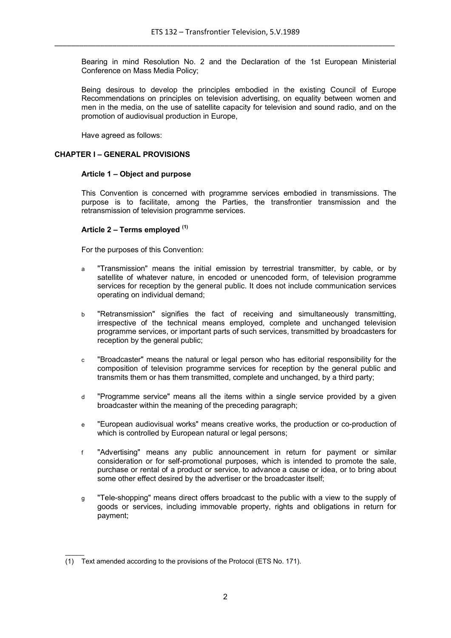Bearing in mind Resolution No. 2 and the Declaration of the 1st European Ministerial Conference on Mass Media Policy;

Being desirous to develop the principles embodied in the existing Council of Europe Recommendations on principles on television advertising, on equality between women and men in the media, on the use of satellite capacity for television and sound radio, and on the promotion of audiovisual production in Europe,

Have agreed as follows:

## **CHAPTER I – GENERAL PROVISIONS**

#### **Article 1 – Object and purpose**

This Convention is concerned with programme services embodied in transmissions. The purpose is to facilitate, among the Parties, the transfrontier transmission and the retransmission of television programme services.

## **Article 2 – Terms employed (1)**

For the purposes of this Convention:

- a "Transmission" means the initial emission by terrestrial transmitter, by cable, or by satellite of whatever nature, in encoded or unencoded form, of television programme services for reception by the general public. It does not include communication services operating on individual demand;
- b "Retransmission" signifies the fact of receiving and simultaneously transmitting, irrespective of the technical means employed, complete and unchanged television programme services, or important parts of such services, transmitted by broadcasters for reception by the general public;
- c "Broadcaster" means the natural or legal person who has editorial responsibility for the composition of television programme services for reception by the general public and transmits them or has them transmitted, complete and unchanged, by a third party;
- d "Programme service" means all the items within a single service provided by a given broadcaster within the meaning of the preceding paragraph;
- e "European audiovisual works" means creative works, the production or co-production of which is controlled by European natural or legal persons;
- f "Advertising" means any public announcement in return for payment or similar consideration or for self-promotional purposes, which is intended to promote the sale, purchase or rental of a product or service, to advance a cause or idea, or to bring about some other effect desired by the advertiser or the broadcaster itself;
- g "Tele-shopping" means direct offers broadcast to the public with a view to the supply of goods or services, including immovable property, rights and obligations in return for payment;

<sup>(1)</sup> Text amended according to the provisions of the Protocol (ETS No. 171).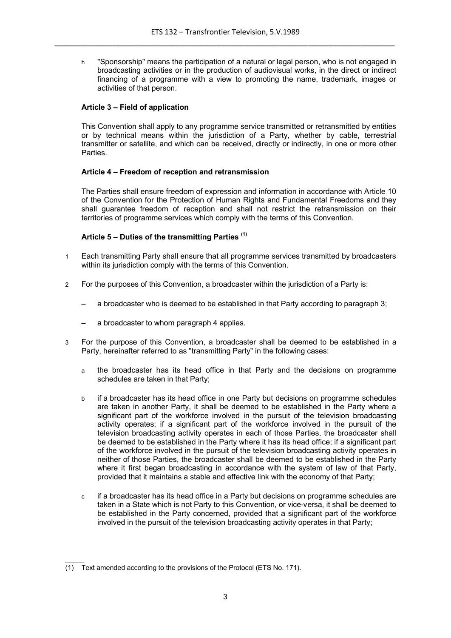h "Sponsorship" means the participation of a natural or legal person, who is not engaged in broadcasting activities or in the production of audiovisual works, in the direct or indirect financing of a programme with a view to promoting the name, trademark, images or activities of that person.

## **Article 3 – Field of application**

This Convention shall apply to any programme service transmitted or retransmitted by entities or by technical means within the jurisdiction of a Party, whether by cable, terrestrial transmitter or satellite, and which can be received, directly or indirectly, in one or more other Parties.

#### **Article 4 – Freedom of reception and retransmission**

The Parties shall ensure freedom of expression and information in accordance with Article 10 of the Convention for the Protection of Human Rights and Fundamental Freedoms and they shall guarantee freedom of reception and shall not restrict the retransmission on their territories of programme services which comply with the terms of this Convention.

## **Article 5 – Duties of the transmitting Parties (1)**

- 1 Each transmitting Party shall ensure that all programme services transmitted by broadcasters within its jurisdiction comply with the terms of this Convention.
- 2 For the purposes of this Convention, a broadcaster within the jurisdiction of a Party is:
	- a broadcaster who is deemed to be established in that Party according to paragraph 3;
	- a broadcaster to whom paragraph 4 applies.
- 3 For the purpose of this Convention, a broadcaster shall be deemed to be established in a Party, hereinafter referred to as "transmitting Party" in the following cases:
	- a the broadcaster has its head office in that Party and the decisions on programme schedules are taken in that Party;
	- b if a broadcaster has its head office in one Party but decisions on programme schedules are taken in another Party, it shall be deemed to be established in the Party where a significant part of the workforce involved in the pursuit of the television broadcasting activity operates; if a significant part of the workforce involved in the pursuit of the television broadcasting activity operates in each of those Parties, the broadcaster shall be deemed to be established in the Party where it has its head office; if a significant part of the workforce involved in the pursuit of the television broadcasting activity operates in neither of those Parties, the broadcaster shall be deemed to be established in the Party where it first began broadcasting in accordance with the system of law of that Party, provided that it maintains a stable and effective link with the economy of that Party;
	- c if a broadcaster has its head office in a Party but decisions on programme schedules are taken in a State which is not Party to this Convention, or vice-versa, it shall be deemed to be established in the Party concerned, provided that a significant part of the workforce involved in the pursuit of the television broadcasting activity operates in that Party;

 $\overline{\phantom{a}}$ 

<sup>(1)</sup> Text amended according to the provisions of the Protocol (ETS No. 171).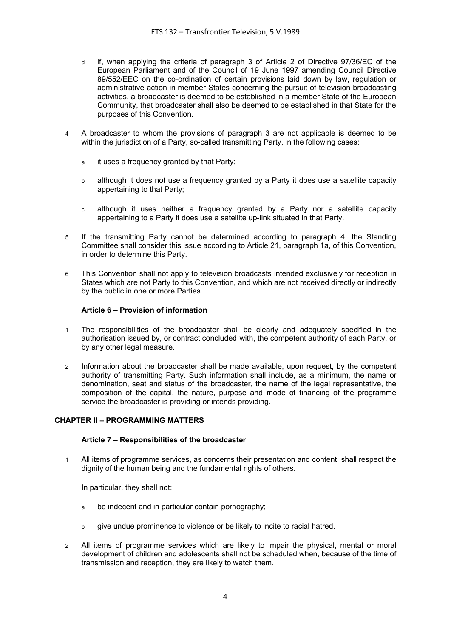- d if, when applying the criteria of paragraph 3 of Article 2 of Directive 97/36/EC of the European Parliament and of the Council of 19 June 1997 amending Council Directive 89/552/EEC on the co-ordination of certain provisions laid down by law, regulation or administrative action in member States concerning the pursuit of television broadcasting activities, a broadcaster is deemed to be established in a member State of the European Community, that broadcaster shall also be deemed to be established in that State for the purposes of this Convention.
- 4 A broadcaster to whom the provisions of paragraph 3 are not applicable is deemed to be within the jurisdiction of a Party, so-called transmitting Party, in the following cases:
	- a it uses a frequency granted by that Party;
	- b although it does not use a frequency granted by a Party it does use a satellite capacity appertaining to that Party;
	- c although it uses neither a frequency granted by a Party nor a satellite capacity appertaining to a Party it does use a satellite up-link situated in that Party.
- 5 If the transmitting Party cannot be determined according to paragraph 4, the Standing Committee shall consider this issue according to Article 21, paragraph 1a, of this Convention, in order to determine this Party.
- 6 This Convention shall not apply to television broadcasts intended exclusively for reception in States which are not Party to this Convention, and which are not received directly or indirectly by the public in one or more Parties.

## **Article 6 – Provision of information**

- 1 The responsibilities of the broadcaster shall be clearly and adequately specified in the authorisation issued by, or contract concluded with, the competent authority of each Party, or by any other legal measure.
- 2 Information about the broadcaster shall be made available, upon request, by the competent authority of transmitting Party. Such information shall include, as a minimum, the name or denomination, seat and status of the broadcaster, the name of the legal representative, the composition of the capital, the nature, purpose and mode of financing of the programme service the broadcaster is providing or intends providing.

## **CHAPTER II – PROGRAMMING MATTERS**

#### **Article 7 – Responsibilities of the broadcaster**

1 All items of programme services, as concerns their presentation and content, shall respect the dignity of the human being and the fundamental rights of others.

In particular, they shall not:

- a be indecent and in particular contain pornography;
- b give undue prominence to violence or be likely to incite to racial hatred.
- 2 All items of programme services which are likely to impair the physical, mental or moral development of children and adolescents shall not be scheduled when, because of the time of transmission and reception, they are likely to watch them.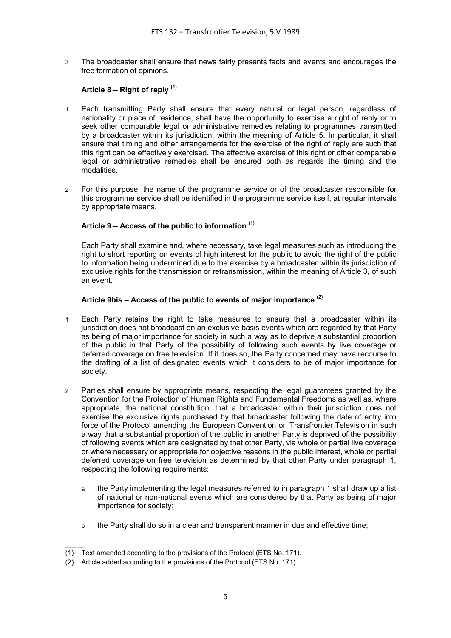3 The broadcaster shall ensure that news fairly presents facts and events and encourages the free formation of opinions.

# **Article 8 – Right of reply (1)**

- 1 Each transmitting Party shall ensure that every natural or legal person, regardless of nationality or place of residence, shall have the opportunity to exercise a right of reply or to seek other comparable legal or administrative remedies relating to programmes transmitted by a broadcaster within its jurisdiction, within the meaning of Article 5. In particular, it shall ensure that timing and other arrangements for the exercise of the right of reply are such that this right can be effectively exercised. The effective exercise of this right or other comparable legal or administrative remedies shall be ensured both as regards the timing and the modalities.
- 2 For this purpose, the name of the programme service or of the broadcaster responsible for this programme service shall be identified in the programme service itself, at regular intervals by appropriate means.

## **Article 9 – Access of the public to information (1)**

Each Party shall examine and, where necessary, take legal measures such as introducing the right to short reporting on events of high interest for the public to avoid the right of the public to information being undermined due to the exercise by a broadcaster within its jurisdiction of exclusive rights for the transmission or retransmission, within the meaning of Article 3, of such an event.

## **Article 9bis – Access of the public to events of major importance (2)**

- 1 Each Party retains the right to take measures to ensure that a broadcaster within its jurisdiction does not broadcast on an exclusive basis events which are regarded by that Party as being of major importance for society in such a way as to deprive a substantial proportion of the public in that Party of the possibility of following such events by live coverage or deferred coverage on free television. If it does so, the Party concerned may have recourse to the drafting of a list of designated events which it considers to be of major importance for society.
- 2 Parties shall ensure by appropriate means, respecting the legal guarantees granted by the Convention for the Protection of Human Rights and Fundamental Freedoms as well as, where appropriate, the national constitution, that a broadcaster within their jurisdiction does not exercise the exclusive rights purchased by that broadcaster following the date of entry into force of the Protocol amending the European Convention on Transfrontier Television in such a way that a substantial proportion of the public in another Party is deprived of the possibility of following events which are designated by that other Party, via whole or partial live coverage or where necessary or appropriate for objective reasons in the public interest, whole or partial deferred coverage on free television as determined by that other Party under paragraph 1, respecting the following requirements:
	- a the Party implementing the legal measures referred to in paragraph 1 shall draw up a list of national or non-national events which are considered by that Party as being of major importance for society;
	- b the Party shall do so in a clear and transparent manner in due and effective time;

<sup>(1)</sup> Text amended according to the provisions of the Protocol (ETS No. 171).

<sup>(2)</sup> Article added according to the provisions of the Protocol (ETS No. 171).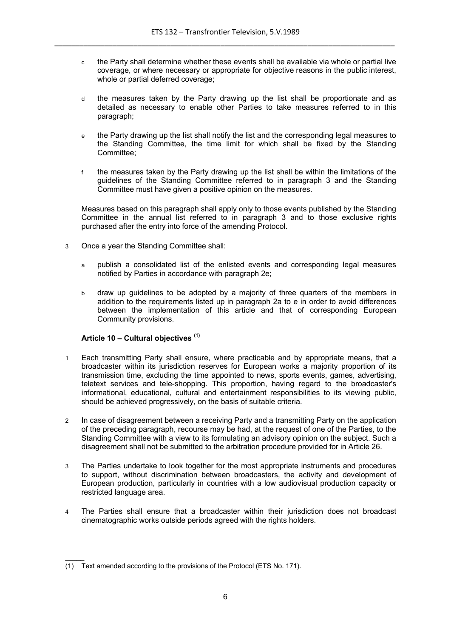- c the Party shall determine whether these events shall be available via whole or partial live coverage, or where necessary or appropriate for objective reasons in the public interest, whole or partial deferred coverage;
- d the measures taken by the Party drawing up the list shall be proportionate and as detailed as necessary to enable other Parties to take measures referred to in this paragraph;
- e the Party drawing up the list shall notify the list and the corresponding legal measures to the Standing Committee, the time limit for which shall be fixed by the Standing Committee;
- f the measures taken by the Party drawing up the list shall be within the limitations of the guidelines of the Standing Committee referred to in paragraph 3 and the Standing Committee must have given a positive opinion on the measures.

Measures based on this paragraph shall apply only to those events published by the Standing Committee in the annual list referred to in paragraph 3 and to those exclusive rights purchased after the entry into force of the amending Protocol.

- 3 Once a year the Standing Committee shall:
	- a publish a consolidated list of the enlisted events and corresponding legal measures notified by Parties in accordance with paragraph 2e;
	- b draw up guidelines to be adopted by a majority of three quarters of the members in addition to the requirements listed up in paragraph 2a to e in order to avoid differences between the implementation of this article and that of corresponding European Community provisions.

## **Article 10 – Cultural objectives (1)**

- 1 Each transmitting Party shall ensure, where practicable and by appropriate means, that a broadcaster within its jurisdiction reserves for European works a majority proportion of its transmission time, excluding the time appointed to news, sports events, games, advertising, teletext services and tele-shopping. This proportion, having regard to the broadcaster's informational, educational, cultural and entertainment responsibilities to its viewing public, should be achieved progressively, on the basis of suitable criteria.
- 2 In case of disagreement between a receiving Party and a transmitting Party on the application of the preceding paragraph, recourse may be had, at the request of one of the Parties, to the Standing Committee with a view to its formulating an advisory opinion on the subject. Such a disagreement shall not be submitted to the arbitration procedure provided for in Article 26.
- 3 The Parties undertake to look together for the most appropriate instruments and procedures to support, without discrimination between broadcasters, the activity and development of European production, particularly in countries with a low audiovisual production capacity or restricted language area.
- 4 The Parties shall ensure that a broadcaster within their jurisdiction does not broadcast cinematographic works outside periods agreed with the rights holders.

 $\overline{\phantom{a}}$ 

<sup>(1)</sup> Text amended according to the provisions of the Protocol (ETS No. 171).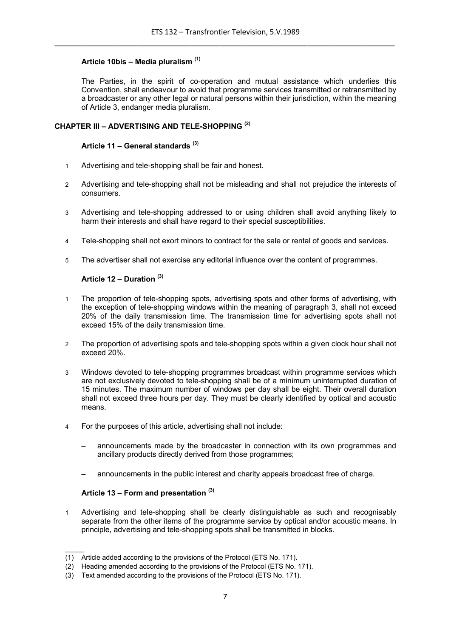## **Article 10bis – Media pluralism (1)**

The Parties, in the spirit of co-operation and mutual assistance which underlies this Convention, shall endeavour to avoid that programme services transmitted or retransmitted by a broadcaster or any other legal or natural persons within their jurisdiction, within the meaning of Article 3, endanger media pluralism.

# **CHAPTER III – ADVERTISING AND TELE-SHOPPING (2)**

## **Article 11 – General standards (3)**

- 1 Advertising and tele-shopping shall be fair and honest.
- 2 Advertising and tele-shopping shall not be misleading and shall not prejudice the interests of consumers.
- 3 Advertising and tele-shopping addressed to or using children shall avoid anything likely to harm their interests and shall have regard to their special susceptibilities.
- 4 Tele-shopping shall not exort minors to contract for the sale or rental of goods and services.
- 5 The advertiser shall not exercise any editorial influence over the content of programmes.

## **Article 12 – Duration (3)**

- 1 The proportion of tele-shopping spots, advertising spots and other forms of advertising, with the exception of tele-shopping windows within the meaning of paragraph 3, shall not exceed 20% of the daily transmission time. The transmission time for advertising spots shall not exceed 15% of the daily transmission time.
- 2 The proportion of advertising spots and tele-shopping spots within a given clock hour shall not exceed 20%.
- 3 Windows devoted to tele-shopping programmes broadcast within programme services which are not exclusively devoted to tele-shopping shall be of a minimum uninterrupted duration of 15 minutes. The maximum number of windows per day shall be eight. Their overall duration shall not exceed three hours per day. They must be clearly identified by optical and acoustic means.
- 4 For the purposes of this article, advertising shall not include:
	- announcements made by the broadcaster in connection with its own programmes and ancillary products directly derived from those programmes;
	- announcements in the public interest and charity appeals broadcast free of charge.

## **Article 13 – Form and presentation (3)**

 $\mathcal{L}$ 

1 Advertising and tele-shopping shall be clearly distinguishable as such and recognisably separate from the other items of the programme service by optical and/or acoustic means. In principle, advertising and tele-shopping spots shall be transmitted in blocks.

<sup>(1)</sup> Article added according to the provisions of the Protocol (ETS No. 171).

<sup>(2)</sup> Heading amended according to the provisions of the Protocol (ETS No. 171).

<sup>(3)</sup> Text amended according to the provisions of the Protocol (ETS No. 171).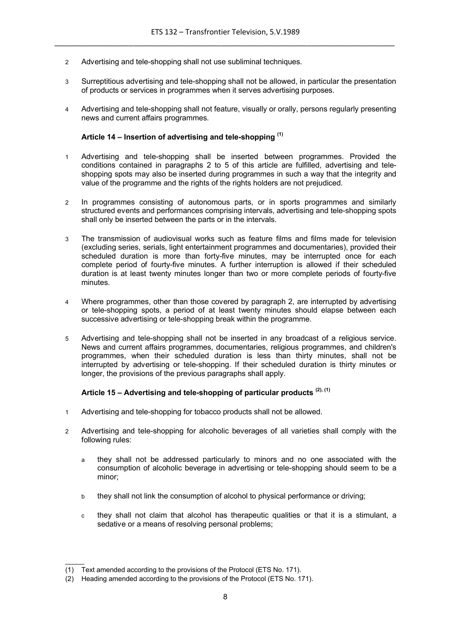- 2 Advertising and tele-shopping shall not use subliminal techniques.
- 3 Surreptitious advertising and tele-shopping shall not be allowed, in particular the presentation of products or services in programmes when it serves advertising purposes.
- 4 Advertising and tele-shopping shall not feature, visually or orally, persons regularly presenting news and current affairs programmes.

## **Article 14 – Insertion of advertising and tele-shopping (1)**

- 1 Advertising and tele-shopping shall be inserted between programmes. Provided the conditions contained in paragraphs 2 to 5 of this article are fulfilled, advertising and teleshopping spots may also be inserted during programmes in such a way that the integrity and value of the programme and the rights of the rights holders are not prejudiced.
- 2 In programmes consisting of autonomous parts, or in sports programmes and similarly structured events and performances comprising intervals, advertising and tele-shopping spots shall only be inserted between the parts or in the intervals.
- 3 The transmission of audiovisual works such as feature films and films made for television (excluding series, serials, light entertainment programmes and documentaries), provided their scheduled duration is more than forty-five minutes, may be interrupted once for each complete period of fourty-five minutes. A further interruption is allowed if their scheduled duration is at least twenty minutes longer than two or more complete periods of fourty-five minutes.
- 4 Where programmes, other than those covered by paragraph 2, are interrupted by advertising or tele-shopping spots, a period of at least twenty minutes should elapse between each successive advertising or tele-shopping break within the programme.
- 5 Advertising and tele-shopping shall not be inserted in any broadcast of a religious service. News and current affairs programmes, documentaries, religious programmes, and children's programmes, when their scheduled duration is less than thirty minutes, shall not be interrupted by advertising or tele-shopping. If their scheduled duration is thirty minutes or longer, the provisions of the previous paragraphs shall apply.

## **Article 15 – Advertising and tele-shopping of particular products (2), (1)**

- 1 Advertising and tele-shopping for tobacco products shall not be allowed.
- 2 Advertising and tele-shopping for alcoholic beverages of all varieties shall comply with the following rules:
	- a they shall not be addressed particularly to minors and no one associated with the consumption of alcoholic beverage in advertising or tele-shopping should seem to be a minor;
	- b they shall not link the consumption of alcohol to physical performance or driving;
	- c they shall not claim that alcohol has therapeutic qualities or that it is a stimulant, a sedative or a means of resolving personal problems;

<sup>(1)</sup> Text amended according to the provisions of the Protocol (ETS No. 171).

<sup>(2)</sup> Heading amended according to the provisions of the Protocol (ETS No. 171).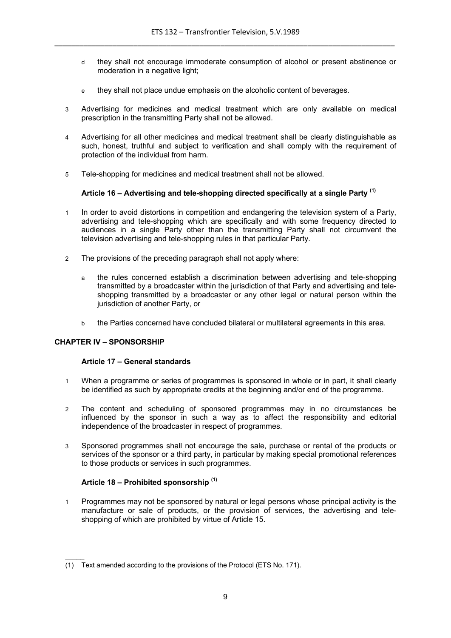- d they shall not encourage immoderate consumption of alcohol or present abstinence or moderation in a negative light;
- e they shall not place undue emphasis on the alcoholic content of beverages.
- 3 Advertising for medicines and medical treatment which are only available on medical prescription in the transmitting Party shall not be allowed.
- 4 Advertising for all other medicines and medical treatment shall be clearly distinguishable as such, honest, truthful and subject to verification and shall comply with the requirement of protection of the individual from harm.
- 5 Tele-shopping for medicines and medical treatment shall not be allowed.

## **Article 16 – Advertising and tele-shopping directed specifically at a single Party (1)**

- 1 In order to avoid distortions in competition and endangering the television system of a Party, advertising and tele-shopping which are specifically and with some frequency directed to audiences in a single Party other than the transmitting Party shall not circumvent the television advertising and tele-shopping rules in that particular Party.
- 2 The provisions of the preceding paragraph shall not apply where:
	- a the rules concerned establish a discrimination between advertising and tele-shopping transmitted by a broadcaster within the jurisdiction of that Party and advertising and teleshopping transmitted by a broadcaster or any other legal or natural person within the jurisdiction of another Party, or
	- b the Parties concerned have concluded bilateral or multilateral agreements in this area.

## **CHAPTER IV – SPONSORSHIP**

 $\frac{1}{2}$ 

## **Article 17 – General standards**

- 1 When a programme or series of programmes is sponsored in whole or in part, it shall clearly be identified as such by appropriate credits at the beginning and/or end of the programme.
- 2 The content and scheduling of sponsored programmes may in no circumstances be influenced by the sponsor in such a way as to affect the responsibility and editorial independence of the broadcaster in respect of programmes.
- 3 Sponsored programmes shall not encourage the sale, purchase or rental of the products or services of the sponsor or a third party, in particular by making special promotional references to those products or services in such programmes.

## **Article 18 – Prohibited sponsorship (1)**

1 Programmes may not be sponsored by natural or legal persons whose principal activity is the manufacture or sale of products, or the provision of services, the advertising and teleshopping of which are prohibited by virtue of Article 15.

<sup>(1)</sup> Text amended according to the provisions of the Protocol (ETS No. 171).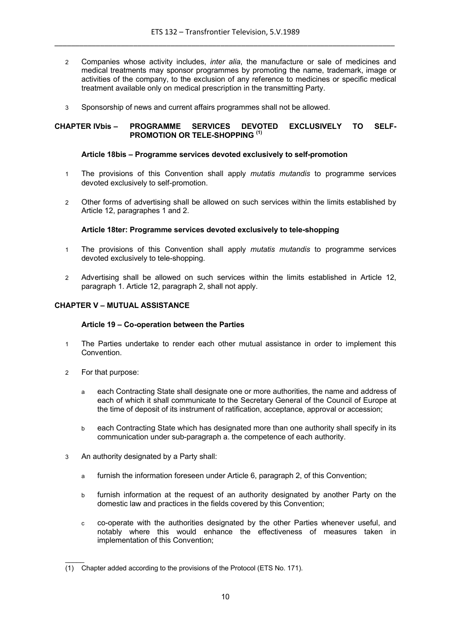- 2 Companies whose activity includes, *inter alia*, the manufacture or sale of medicines and medical treatments may sponsor programmes by promoting the name, trademark, image or activities of the company, to the exclusion of any reference to medicines or specific medical treatment available only on medical prescription in the transmitting Party.
- 3 Sponsorship of news and current affairs programmes shall not be allowed.

### **CHAPTER IVbis – PROGRAMME SERVICES DEVOTED EXCLUSIVELY TO SELF-PROMOTION OR TELE-SHOPPING (1)**

### **Article 18bis – Programme services devoted exclusively to self-promotion**

- 1 The provisions of this Convention shall apply *mutatis mutandis* to programme services devoted exclusively to self-promotion.
- 2 Other forms of advertising shall be allowed on such services within the limits established by Article 12, paragraphes 1 and 2.

#### **Article 18ter: Programme services devoted exclusively to tele-shopping**

- 1 The provisions of this Convention shall apply *mutatis mutandis* to programme services devoted exclusively to tele-shopping.
- 2 Advertising shall be allowed on such services within the limits established in Article 12, paragraph 1. Article 12, paragraph 2, shall not apply.

### **CHAPTER V – MUTUAL ASSISTANCE**

#### **Article 19 – Co-operation between the Parties**

- 1 The Parties undertake to render each other mutual assistance in order to implement this Convention.
- 2 For that purpose:

- a each Contracting State shall designate one or more authorities, the name and address of each of which it shall communicate to the Secretary General of the Council of Europe at the time of deposit of its instrument of ratification, acceptance, approval or accession;
- b each Contracting State which has designated more than one authority shall specify in its communication under sub-paragraph a. the competence of each authority.
- 3 An authority designated by a Party shall:
	- a furnish the information foreseen under Article 6, paragraph 2, of this Convention;
	- b furnish information at the request of an authority designated by another Party on the domestic law and practices in the fields covered by this Convention;
	- c co-operate with the authorities designated by the other Parties whenever useful, and notably where this would enhance the effectiveness of measures taken in implementation of this Convention;

<sup>(1)</sup> Chapter added according to the provisions of the Protocol (ETS No. 171).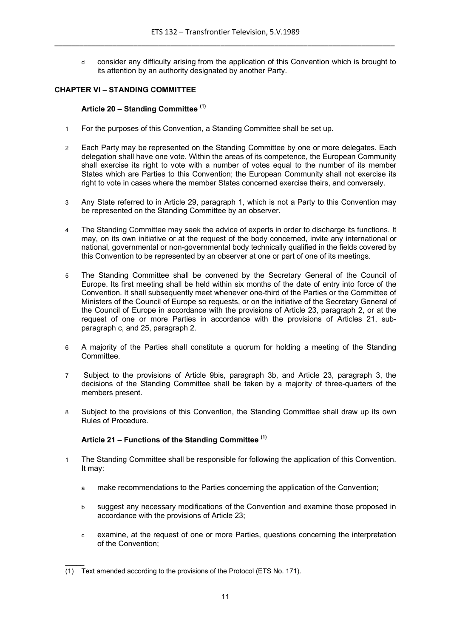d consider any difficulty arising from the application of this Convention which is brought to its attention by an authority designated by another Party.

# **CHAPTER VI – STANDING COMMITTEE**

## **Article 20 – Standing Committee (1)**

- 1 For the purposes of this Convention, a Standing Committee shall be set up.
- 2 Each Party may be represented on the Standing Committee by one or more delegates. Each delegation shall have one vote. Within the areas of its competence, the European Community shall exercise its right to vote with a number of votes equal to the number of its member States which are Parties to this Convention; the European Community shall not exercise its right to vote in cases where the member States concerned exercise theirs, and conversely.
- 3 Any State referred to in Article 29, paragraph 1, which is not a Party to this Convention may be represented on the Standing Committee by an observer.
- 4 The Standing Committee may seek the advice of experts in order to discharge its functions. It may, on its own initiative or at the request of the body concerned, invite any international or national, governmental or non-governmental body technically qualified in the fields covered by this Convention to be represented by an observer at one or part of one of its meetings.
- 5 The Standing Committee shall be convened by the Secretary General of the Council of Europe. Its first meeting shall be held within six months of the date of entry into force of the Convention. It shall subsequently meet whenever one-third of the Parties or the Committee of Ministers of the Council of Europe so requests, or on the initiative of the Secretary General of the Council of Europe in accordance with the provisions of Article 23, paragraph 2, or at the request of one or more Parties in accordance with the provisions of Articles 21, subparagraph c, and 25, paragraph 2.
- 6 A majority of the Parties shall constitute a quorum for holding a meeting of the Standing Committee.
- 7 Subject to the provisions of Article 9bis, paragraph 3b, and Article 23, paragraph 3, the decisions of the Standing Committee shall be taken by a majority of three-quarters of the members present.
- 8 Subject to the provisions of this Convention, the Standing Committee shall draw up its own Rules of Procedure.

# **Article 21 – Functions of the Standing Committee (1)**

- 1 The Standing Committee shall be responsible for following the application of this Convention. It may:
	- a make recommendations to the Parties concerning the application of the Convention;
	- b suggest any necessary modifications of the Convention and examine those proposed in accordance with the provisions of Article 23;
	- c examine, at the request of one or more Parties, questions concerning the interpretation of the Convention;

<sup>(1)</sup> Text amended according to the provisions of the Protocol (ETS No. 171).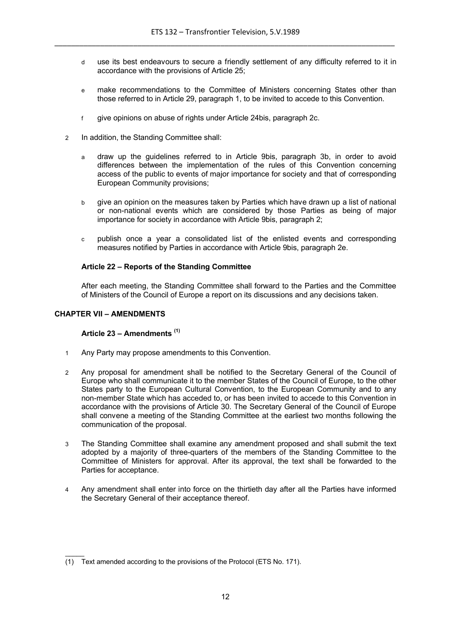- d use its best endeavours to secure a friendly settlement of any difficulty referred to it in accordance with the provisions of Article 25;
- e make recommendations to the Committee of Ministers concerning States other than those referred to in Article 29, paragraph 1, to be invited to accede to this Convention.
- f give opinions on abuse of rights under Article 24bis, paragraph 2c.
- 2 In addition, the Standing Committee shall:
	- a draw up the guidelines referred to in Article 9bis, paragraph 3b, in order to avoid differences between the implementation of the rules of this Convention concerning access of the public to events of major importance for society and that of corresponding European Community provisions;
	- b give an opinion on the measures taken by Parties which have drawn up a list of national or non-national events which are considered by those Parties as being of major importance for society in accordance with Article 9bis, paragraph 2;
	- c publish once a year a consolidated list of the enlisted events and corresponding measures notified by Parties in accordance with Article 9bis, paragraph 2e.

#### **Article 22 – Reports of the Standing Committee**

After each meeting, the Standing Committee shall forward to the Parties and the Committee of Ministers of the Council of Europe a report on its discussions and any decisions taken.

#### **CHAPTER VII – AMENDMENTS**

 $\mathcal{L}$ 

## **Article 23 – Amendments (1)**

- 1 Any Party may propose amendments to this Convention.
- 2 Any proposal for amendment shall be notified to the Secretary General of the Council of Europe who shall communicate it to the member States of the Council of Europe, to the other States party to the European Cultural Convention, to the European Community and to any non-member State which has acceded to, or has been invited to accede to this Convention in accordance with the provisions of Article 30. The Secretary General of the Council of Europe shall convene a meeting of the Standing Committee at the earliest two months following the communication of the proposal.
- 3 The Standing Committee shall examine any amendment proposed and shall submit the text adopted by a majority of three-quarters of the members of the Standing Committee to the Committee of Ministers for approval. After its approval, the text shall be forwarded to the Parties for acceptance.
- 4 Any amendment shall enter into force on the thirtieth day after all the Parties have informed the Secretary General of their acceptance thereof.

<sup>(1)</sup> Text amended according to the provisions of the Protocol (ETS No. 171).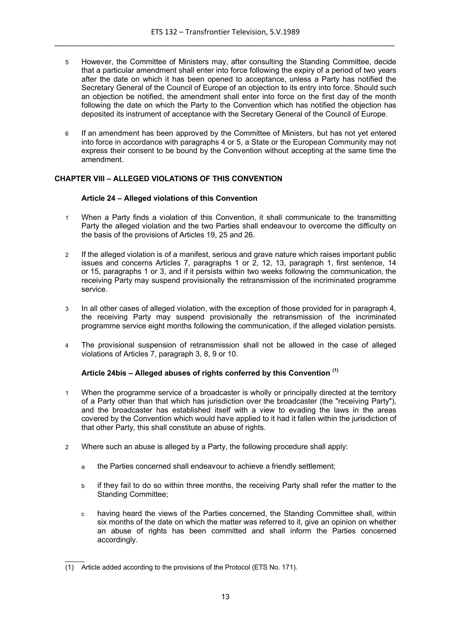- 5 However, the Committee of Ministers may, after consulting the Standing Committee, decide that a particular amendment shall enter into force following the expiry of a period of two years after the date on which it has been opened to acceptance, unless a Party has notified the Secretary General of the Council of Europe of an objection to its entry into force. Should such an objection be notified, the amendment shall enter into force on the first day of the month following the date on which the Party to the Convention which has notified the objection has deposited its instrument of acceptance with the Secretary General of the Council of Europe.
- 6 If an amendment has been approved by the Committee of Ministers, but has not yet entered into force in accordance with paragraphs 4 or 5, a State or the European Community may not express their consent to be bound by the Convention without accepting at the same time the amendment.

## **CHAPTER VIII – ALLEGED VIOLATIONS OF THIS CONVENTION**

## **Article 24 – Alleged violations of this Convention**

- 1 When a Party finds a violation of this Convention, it shall communicate to the transmitting Party the alleged violation and the two Parties shall endeavour to overcome the difficulty on the basis of the provisions of Articles 19, 25 and 26.
- 2 If the alleged violation is of a manifest, serious and grave nature which raises important public issues and concerns Articles 7, paragraphs 1 or 2, 12, 13, paragraph 1, first sentence, 14 or 15, paragraphs 1 or 3, and if it persists within two weeks following the communication, the receiving Party may suspend provisionally the retransmission of the incriminated programme service.
- 3 In all other cases of alleged violation, with the exception of those provided for in paragraph 4, the receiving Party may suspend provisionally the retransmission of the incriminated programme service eight months following the communication, if the alleged violation persists.
- 4 The provisional suspension of retransmission shall not be allowed in the case of alleged violations of Articles 7, paragraph 3, 8, 9 or 10.

## **Article 24bis – Alleged abuses of rights conferred by this Convention (1)**

- 1 When the programme service of a broadcaster is wholly or principally directed at the territory of a Party other than that which has jurisdiction over the broadcaster (the "receiving Party"), and the broadcaster has established itself with a view to evading the laws in the areas covered by the Convention which would have applied to it had it fallen within the jurisdiction of that other Party, this shall constitute an abuse of rights.
- 2 Where such an abuse is alleged by a Party, the following procedure shall apply:
	- a the Parties concerned shall endeavour to achieve a friendly settlement;
	- b if they fail to do so within three months, the receiving Party shall refer the matter to the Standing Committee;
	- c having heard the views of the Parties concerned, the Standing Committee shall, within six months of the date on which the matter was referred to it, give an opinion on whether an abuse of rights has been committed and shall inform the Parties concerned accordingly.

 $\frac{1}{2}$ 

<sup>(1)</sup> Article added according to the provisions of the Protocol (ETS No. 171).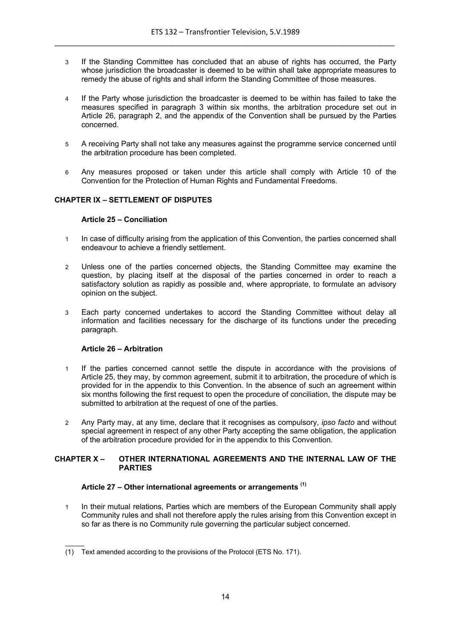- 3 If the Standing Committee has concluded that an abuse of rights has occurred, the Party whose jurisdiction the broadcaster is deemed to be within shall take appropriate measures to remedy the abuse of rights and shall inform the Standing Committee of those measures.
- 4 If the Party whose jurisdiction the broadcaster is deemed to be within has failed to take the measures specified in paragraph 3 within six months, the arbitration procedure set out in Article 26, paragraph 2, and the appendix of the Convention shall be pursued by the Parties concerned.
- 5 A receiving Party shall not take any measures against the programme service concerned until the arbitration procedure has been completed.
- 6 Any measures proposed or taken under this article shall comply with Article 10 of the Convention for the Protection of Human Rights and Fundamental Freedoms.

## **CHAPTER IX – SETTLEMENT OF DISPUTES**

## **Article 25 – Conciliation**

- 1 In case of difficulty arising from the application of this Convention, the parties concerned shall endeavour to achieve a friendly settlement.
- 2 Unless one of the parties concerned objects, the Standing Committee may examine the question, by placing itself at the disposal of the parties concerned in order to reach a satisfactory solution as rapidly as possible and, where appropriate, to formulate an advisory opinion on the subject.
- 3 Each party concerned undertakes to accord the Standing Committee without delay all information and facilities necessary for the discharge of its functions under the preceding paragraph.

## **Article 26 – Arbitration**

 $\overline{\phantom{a}}$ 

- 1 If the parties concerned cannot settle the dispute in accordance with the provisions of Article 25, they may, by common agreement, submit it to arbitration, the procedure of which is provided for in the appendix to this Convention. In the absence of such an agreement within six months following the first request to open the procedure of conciliation, the dispute may be submitted to arbitration at the request of one of the parties.
- 2 Any Party may, at any time, declare that it recognises as compulsory, *ipso facto* and without special agreement in respect of any other Party accepting the same obligation, the application of the arbitration procedure provided for in the appendix to this Convention.

#### **CHAPTER X – OTHER INTERNATIONAL AGREEMENTS AND THE INTERNAL LAW OF THE PARTIES**

## **Article 27 – Other international agreements or arrangements (1)**

1 In their mutual relations, Parties which are members of the European Community shall apply Community rules and shall not therefore apply the rules arising from this Convention except in so far as there is no Community rule governing the particular subject concerned.

<sup>(1)</sup> Text amended according to the provisions of the Protocol (ETS No. 171).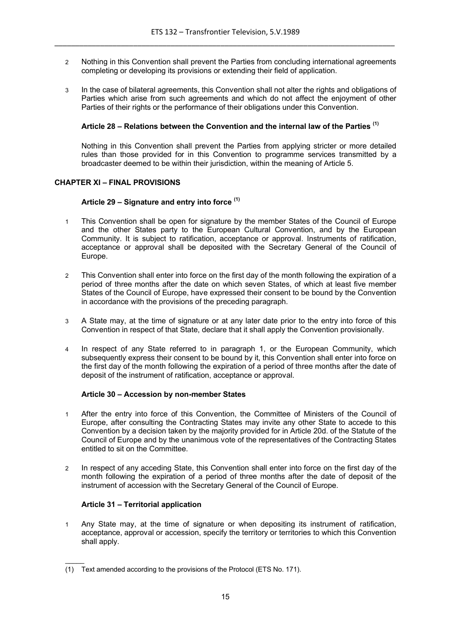- 2 Nothing in this Convention shall prevent the Parties from concluding international agreements completing or developing its provisions or extending their field of application.
- 3 In the case of bilateral agreements, this Convention shall not alter the rights and obligations of Parties which arise from such agreements and which do not affect the enjoyment of other Parties of their rights or the performance of their obligations under this Convention.

## **Article 28 – Relations between the Convention and the internal law of the Parties (1)**

Nothing in this Convention shall prevent the Parties from applying stricter or more detailed rules than those provided for in this Convention to programme services transmitted by a broadcaster deemed to be within their jurisdiction, within the meaning of Article 5.

## **CHAPTER XI – FINAL PROVISIONS**

# **Article 29 – Signature and entry into force (1)**

- 1 This Convention shall be open for signature by the member States of the Council of Europe and the other States party to the European Cultural Convention, and by the European Community. It is subject to ratification, acceptance or approval. Instruments of ratification, acceptance or approval shall be deposited with the Secretary General of the Council of Europe.
- 2 This Convention shall enter into force on the first day of the month following the expiration of a period of three months after the date on which seven States, of which at least five member States of the Council of Europe, have expressed their consent to be bound by the Convention in accordance with the provisions of the preceding paragraph.
- 3 A State may, at the time of signature or at any later date prior to the entry into force of this Convention in respect of that State, declare that it shall apply the Convention provisionally.
- 4 In respect of any State referred to in paragraph 1, or the European Community, which subsequently express their consent to be bound by it, this Convention shall enter into force on the first day of the month following the expiration of a period of three months after the date of deposit of the instrument of ratification, acceptance or approval.

## **Article 30 – Accession by non-member States**

- 1 After the entry into force of this Convention, the Committee of Ministers of the Council of Europe, after consulting the Contracting States may invite any other State to accede to this Convention by a decision taken by the majority provided for in Article 20d. of the Statute of the Council of Europe and by the unanimous vote of the representatives of the Contracting States entitled to sit on the Committee.
- 2 In respect of any acceding State, this Convention shall enter into force on the first day of the month following the expiration of a period of three months after the date of deposit of the instrument of accession with the Secretary General of the Council of Europe.

## **Article 31 – Territorial application**

 $\mathcal{L}$ 

1 Any State may, at the time of signature or when depositing its instrument of ratification, acceptance, approval or accession, specify the territory or territories to which this Convention shall apply.

<sup>(1)</sup> Text amended according to the provisions of the Protocol (ETS No. 171).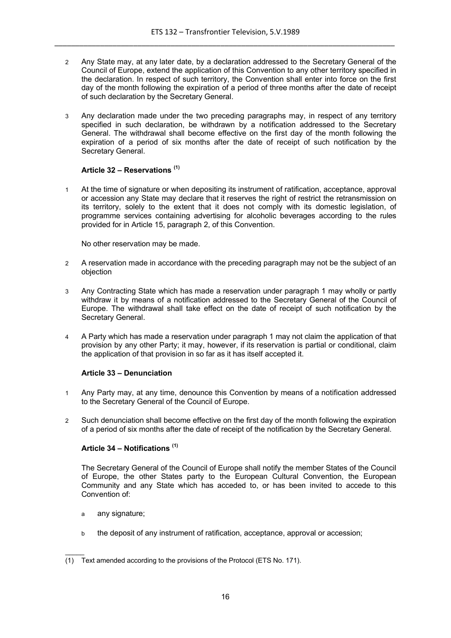- 2 Any State may, at any later date, by a declaration addressed to the Secretary General of the Council of Europe, extend the application of this Convention to any other territory specified in the declaration. In respect of such territory, the Convention shall enter into force on the first day of the month following the expiration of a period of three months after the date of receipt of such declaration by the Secretary General.
- 3 Any declaration made under the two preceding paragraphs may, in respect of any territory specified in such declaration, be withdrawn by a notification addressed to the Secretary General. The withdrawal shall become effective on the first day of the month following the expiration of a period of six months after the date of receipt of such notification by the Secretary General.

## **Article 32 – Reservations (1)**

1 At the time of signature or when depositing its instrument of ratification, acceptance, approval or accession any State may declare that it reserves the right of restrict the retransmission on its territory, solely to the extent that it does not comply with its domestic legislation, of programme services containing advertising for alcoholic beverages according to the rules provided for in Article 15, paragraph 2, of this Convention.

No other reservation may be made.

- 2 A reservation made in accordance with the preceding paragraph may not be the subject of an objection
- 3 Any Contracting State which has made a reservation under paragraph 1 may wholly or partly withdraw it by means of a notification addressed to the Secretary General of the Council of Europe. The withdrawal shall take effect on the date of receipt of such notification by the Secretary General.
- 4 A Party which has made a reservation under paragraph 1 may not claim the application of that provision by any other Party; it may, however, if its reservation is partial or conditional, claim the application of that provision in so far as it has itself accepted it.

## **Article 33 – Denunciation**

- 1 Any Party may, at any time, denounce this Convention by means of a notification addressed to the Secretary General of the Council of Europe.
- 2 Such denunciation shall become effective on the first day of the month following the expiration of a period of six months after the date of receipt of the notification by the Secretary General.

## **Article 34 – Notifications (1)**

The Secretary General of the Council of Europe shall notify the member States of the Council of Europe, the other States party to the European Cultural Convention, the European Community and any State which has acceded to, or has been invited to accede to this Convention of:

a any signature;

 $\mathcal{L}$ 

b the deposit of any instrument of ratification, acceptance, approval or accession;

<sup>(1)</sup> Text amended according to the provisions of the Protocol (ETS No. 171).